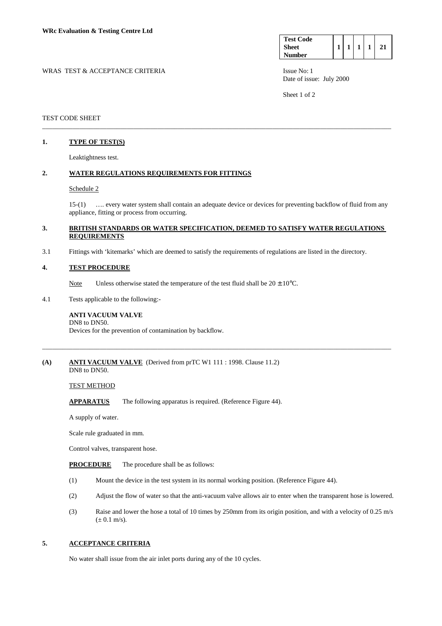| <b>Test Code</b> |  |  |  |
|------------------|--|--|--|
| <b>Sheet</b>     |  |  |  |
| <b>Number</b>    |  |  |  |

WRAS TEST & ACCEPTANCE CRITERIA ISSUE No: 1 Date of issue: July 2000

Sheet 1 of 2

## TEST CODE SHEET

## **1. TYPE OF TEST(S)**

Leaktightness test.

### **2. WATER REGULATIONS REQUIREMENTS FOR FITTINGS**

#### Schedule 2

 15-(1) …. every water system shall contain an adequate device or devices for preventing backflow of fluid from any appliance, fitting or process from occurring.

### **3. BRITISH STANDARDS OR WATER SPECIFICATION, DEEMED TO SATISFY WATER REGULATIONS REQUIREMENTS**

\_\_\_\_\_\_\_\_\_\_\_\_\_\_\_\_\_\_\_\_\_\_\_\_\_\_\_\_\_\_\_\_\_\_\_\_\_\_\_\_\_\_\_\_\_\_\_\_\_\_\_\_\_\_\_\_\_\_\_\_\_\_\_\_\_\_\_\_\_\_\_\_\_\_\_\_\_\_\_\_\_\_\_\_\_\_\_\_\_\_\_\_\_\_\_\_\_\_\_\_\_\_\_

\_\_\_\_\_\_\_\_\_\_\_\_\_\_\_\_\_\_\_\_\_\_\_\_\_\_\_\_\_\_\_\_\_\_\_\_\_\_\_\_\_\_\_\_\_\_\_\_\_\_\_\_\_\_\_\_\_\_\_\_\_\_\_\_\_\_\_\_\_\_\_\_\_\_\_\_\_\_\_\_\_\_\_\_\_\_\_\_\_\_\_\_\_\_\_\_\_\_\_\_\_\_\_

3.1 Fittings with 'kitemarks' which are deemed to satisfy the requirements of regulations are listed in the directory.

## **4. TEST PROCEDURE**

Note Unless otherwise stated the temperature of the test fluid shall be  $20 \pm 10^{\circ}$ C.

4.1 Tests applicable to the following:-

#### **ANTI VACUUM VALVE**  DN8 to DN50.

Devices for the prevention of contamination by backflow.

## **(A) ANTI VACUUM VALVE** (Derived from prTC W1 111 : 1998. Clause 11.2)

DN8 to DN50.

## TEST METHOD

APPARATUS The following apparatus is required. (Reference Figure 44).

A supply of water.

Scale rule graduated in mm.

Control valves, transparent hose.

**PROCEDURE** The procedure shall be as follows:

- (1) Mount the device in the test system in its normal working position. (Reference Figure 44).
- (2) Adjust the flow of water so that the anti-vacuum valve allows air to enter when the transparent hose is lowered.
- (3) Raise and lower the hose a total of 10 times by 250mm from its origin position, and with a velocity of 0.25 m/s  $(\pm 0.1 \text{ m/s}).$

## **5. ACCEPTANCE CRITERIA**

No water shall issue from the air inlet ports during any of the 10 cycles.